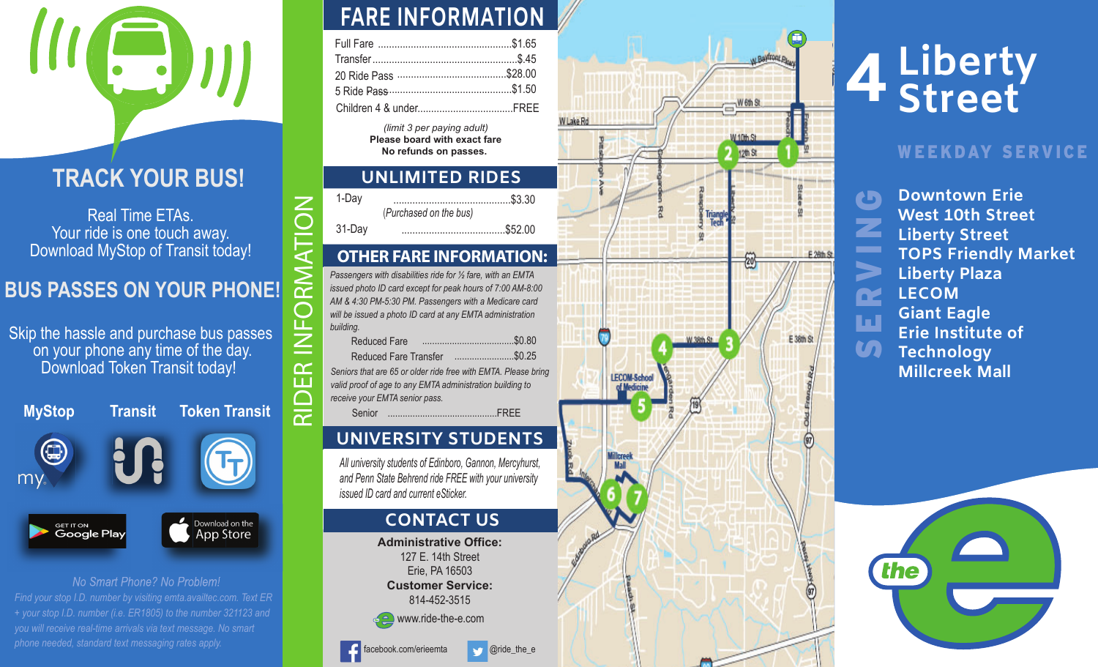## **TRACK YOUR BUS!**

Real Time ETAs. Your ride is one touch away. Download MyStop of Transit today!

## **BUS PASSES ON YOUR PHONE!**

Skip the hassle and purchase bus passes on your phone any time of the day. Download Token Transit today!

(a) my. Download on the <sub>GET IT ON</sub><br>**Google Play** App Store

No Smart Phone? No Problem! *Find your stop I.D. number by visiting emta.availtec.com. Text ER + your stop I.D. number (i.e. ER1805) to the number 321123 and you will receive real-time arrivals via text message. No smart phone needed, standard text messaging rates apply.*

# **FARE INFORMATION**

*(limit 3 per paying adult)* **Please board with exact fareNo refunds on passes.** 

### **UNLIMITED RIDES**

| 1-Day  |                        |
|--------|------------------------|
|        | (Purchased on the bus) |
| 31-Day |                        |

#### **OTHER FARE INFORMATION:**

Numering to the busy of Transit today!<br>
Numering and probably to the busy of Transit today!<br>
Superior to the busy of Transit today!<br>
Superior to the distribution of the distribution of the distribution of the busy of the h

| <b>Reduced Fare</b>          |        |  |
|------------------------------|--------|--|
| <b>Reduced Fare Transfer</b> | \$0.25 |  |

## **UNIVERSITY STUDENTS**

*All university students of Edinboro, Gannon, Mercyhurst, and Penn State Behrend ride FREE with your university issued ID card and current eSticker.*

#### **CONTACT US**

**Administrative Office:**127 E. 14th Street Erie, PA 16503 **Customer Service:**814-452-3515





# **<sup>4</sup>Liberty Street**

#### **Partial Property In Partial Property AVEEKDAY SERVICE**

**Downtown ErieWest 10th StreetLiberty Street TOPS Friendly Market Liberty Plaza LECOMGiant Eagle Erie Institute of Technology Millcreek Mall**

SERVIN

Œ

ш

**Si** 

G

Z